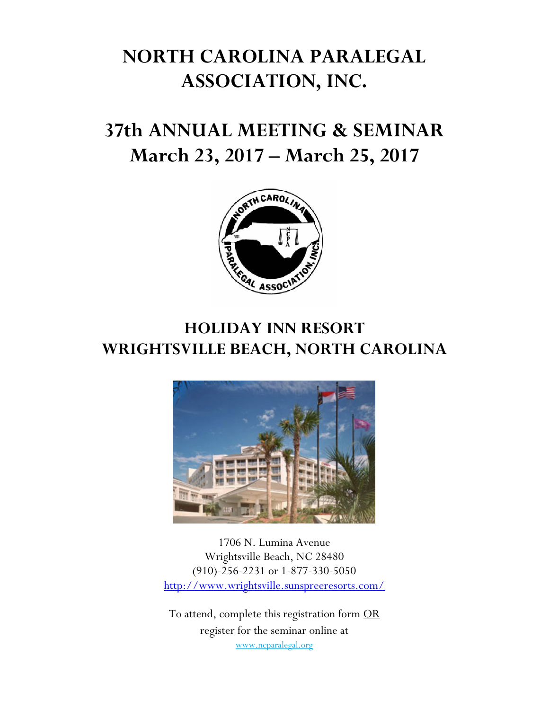# **NORTH CAROLINA PARALEGAL ASSOCIATION, INC.**

# **37th ANNUAL MEETING & SEMINAR March 23, 2017 – March 25, 2017**



## **HOLIDAY INN RESORT WRIGHTSVILLE BEACH, NORTH CAROLINA**



1706 N. Lumina Avenue Wrightsville Beach, NC 28480 (910)-256-2231 or 1-877-330-5050 http://www.wrightsville.sunspreeresorts.com/

To attend, complete this registration form OR register for the seminar online at www.ncparalegal.org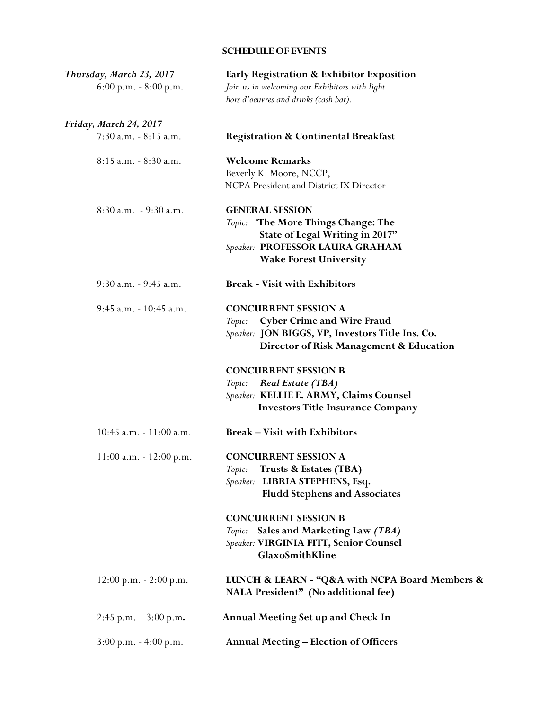## **SCHEDULE OF EVENTS**

| <u>Thursday, March 23, 2017</u> | Early Registration & Exhibitor Exposition                                                                                                                                 |  |  |
|---------------------------------|---------------------------------------------------------------------------------------------------------------------------------------------------------------------------|--|--|
| $6:00$ p.m. $-8:00$ p.m.        | Join us in welcoming our Exhibitors with light<br>hors d'oeuvres and drinks (cash bar).                                                                                   |  |  |
| <u>Friday, March 24, 2017</u>   |                                                                                                                                                                           |  |  |
| 7:30 a.m. - 8:15 a.m.           | <b>Registration &amp; Continental Breakfast</b>                                                                                                                           |  |  |
| 8:15 a.m. - 8:30 a.m.           | <b>Welcome Remarks</b><br>Beverly K. Moore, NCCP,<br>NCPA President and District IX Director                                                                              |  |  |
| $8:30$ a.m. $-9:30$ a.m.        | <b>GENERAL SESSION</b><br>Topic: "The More Things Change: The<br>State of Legal Writing in 2017"<br>Speaker: PROFESSOR LAURA GRAHAM<br><b>Wake Forest University</b>      |  |  |
| 9:30 a.m. - 9:45 a.m.           | <b>Break - Visit with Exhibitors</b>                                                                                                                                      |  |  |
| 9:45 a.m. - 10:45 a.m.          | <b>CONCURRENT SESSION A</b><br><b>Cyber Crime and Wire Fraud</b><br>Topic:<br>Speaker: JON BIGGS, VP, Investors Title Ins. Co.<br>Director of Risk Management & Education |  |  |
|                                 | <b>CONCURRENT SESSION B</b><br>Real Estate (TBA)<br>Topic:<br>Speaker: KELLIE E. ARMY, Claims Counsel<br><b>Investors Title Insurance Company</b>                         |  |  |
| $10:45$ a.m. $-11:00$ a.m.      | <b>Break – Visit with Exhibitors</b>                                                                                                                                      |  |  |
| $11:00$ a.m. $-12:00$ p.m.      | <b>CONCURRENT SESSION A</b><br>Topic: Trusts & Estates (TBA)<br>Speaker: LIBRIA STEPHENS, Esq.<br><b>Fludd Stephens and Associates</b>                                    |  |  |
|                                 | <b>CONCURRENT SESSION B</b><br>Topic: Sales and Marketing Law (TBA)<br>Speaker: VIRGINIA FITT, Senior Counsel<br>GlaxoSmithKline                                          |  |  |
| $12:00$ p.m. $- 2:00$ p.m.      | LUNCH & LEARN - "Q&A with NCPA Board Members &<br>NALA President" (No additional fee)                                                                                     |  |  |
| $2:45$ p.m. $-3:00$ p.m.        | <b>Annual Meeting Set up and Check In</b>                                                                                                                                 |  |  |
| $3:00$ p.m. $-4:00$ p.m.        | <b>Annual Meeting - Election of Officers</b>                                                                                                                              |  |  |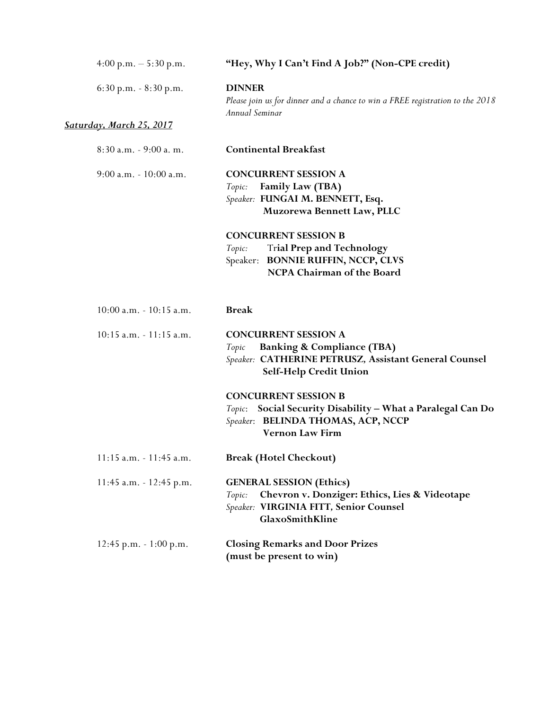| 4:00 p.m. $-5:30$ p.m.          | "Hey, Why I Can't Find A Job?" (Non-CPE credit)                                                                                                                  |  |  |
|---------------------------------|------------------------------------------------------------------------------------------------------------------------------------------------------------------|--|--|
| $6:30$ p.m. $-8:30$ p.m.        | <b>DINNER</b><br>Please join us for dinner and a chance to win a FREE registration to the 2018<br>Annual Seminar                                                 |  |  |
| <b>Saturday, March 25, 2017</b> |                                                                                                                                                                  |  |  |
| 8:30 a.m. - 9:00 a.m.           | <b>Continental Breakfast</b>                                                                                                                                     |  |  |
| $9:00$ a.m. $-10:00$ a.m.       | <b>CONCURRENT SESSION A</b><br><b>Family Law (TBA)</b><br>Topic:<br>Speaker: FUNGAI M. BENNETT, Esq.<br>Muzorewa Bennett Law, PLLC                               |  |  |
|                                 | <b>CONCURRENT SESSION B</b><br><b>Trial Prep and Technology</b><br>Topic:<br>Speaker: BONNIE RUFFIN, NCCP, CLVS<br>NCPA Chairman of the Board                    |  |  |
| 10:00 a.m. - 10:15 a.m.         | <b>Break</b>                                                                                                                                                     |  |  |
| $10:15$ a.m. $-11:15$ a.m.      | <b>CONCURRENT SESSION A</b><br><b>Banking &amp; Compliance (TBA)</b><br>Topic<br>Speaker: CATHERINE PETRUSZ, Assistant General Counsel<br>Self-Help Credit Union |  |  |
|                                 | <b>CONCURRENT SESSION B</b><br>Social Security Disability - What a Paralegal Can Do<br>Topic:<br>Speaker: BELINDA THOMAS, ACP, NCCP<br><b>Vernon Law Firm</b>    |  |  |
| 11:15 a.m. - 11:45 a.m.         | <b>Break (Hotel Checkout)</b>                                                                                                                                    |  |  |
| 11:45 a.m. - 12:45 p.m.         | <b>GENERAL SESSION (Ethics)</b><br>Chevron v. Donziger: Ethics, Lies & Videotape<br>Topic:<br>Speaker: VIRGINIA FITT, Senior Counsel<br>GlaxoSmithKline          |  |  |
| $12:45$ p.m. $-1:00$ p.m.       | <b>Closing Remarks and Door Prizes</b><br>(must be present to win)                                                                                               |  |  |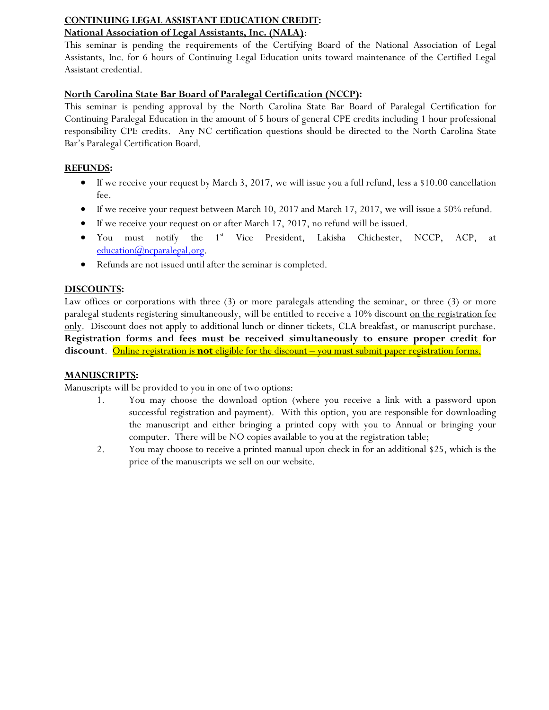## **CONTINUING LEGAL ASSISTANT EDUCATION CREDIT:**

## **National Association of Legal Assistants, Inc. (NALA)**:

This seminar is pending the requirements of the Certifying Board of the National Association of Legal Assistants, Inc. for 6 hours of Continuing Legal Education units toward maintenance of the Certified Legal Assistant credential.

## **North Carolina State Bar Board of Paralegal Certification (NCCP):**

This seminar is pending approval by the North Carolina State Bar Board of Paralegal Certification for Continuing Paralegal Education in the amount of 5 hours of general CPE credits including 1 hour professional responsibility CPE credits. Any NC certification questions should be directed to the North Carolina State Bar's Paralegal Certification Board.

## **REFUNDS:**

- $\bullet$  If we receive your request by March 3, 2017, we will issue you a full refund, less a \$10.00 cancellation fee.
- $\bullet$  If we receive your request between March 10, 2017 and March 17, 2017, we will issue a 50% refund.
- If we receive your request on or after March 17, 2017, no refund will be issued.
- You must notify the 1<sup>st</sup> Vice President, Lakisha Chichester, NCCP, ACP, at education@ncparalegal.org.
- Refunds are not issued until after the seminar is completed.

## **DISCOUNTS:**

Law offices or corporations with three (3) or more paralegals attending the seminar, or three (3) or more paralegal students registering simultaneously, will be entitled to receive a 10% discount on the registration fee only. Discount does not apply to additional lunch or dinner tickets, CLA breakfast, or manuscript purchase. **Registration forms and fees must be received simultaneously to ensure proper credit for discount**. Online registration is **not** eligible for the discount – you must submit paper registration forms.

## **MANUSCRIPTS:**

Manuscripts will be provided to you in one of two options:

- 1. You may choose the download option (where you receive a link with a password upon successful registration and payment). With this option, you are responsible for downloading the manuscript and either bringing a printed copy with you to Annual or bringing your computer. There will be NO copies available to you at the registration table;
- 2. You may choose to receive a printed manual upon check in for an additional \$25, which is the price of the manuscripts we sell on our website.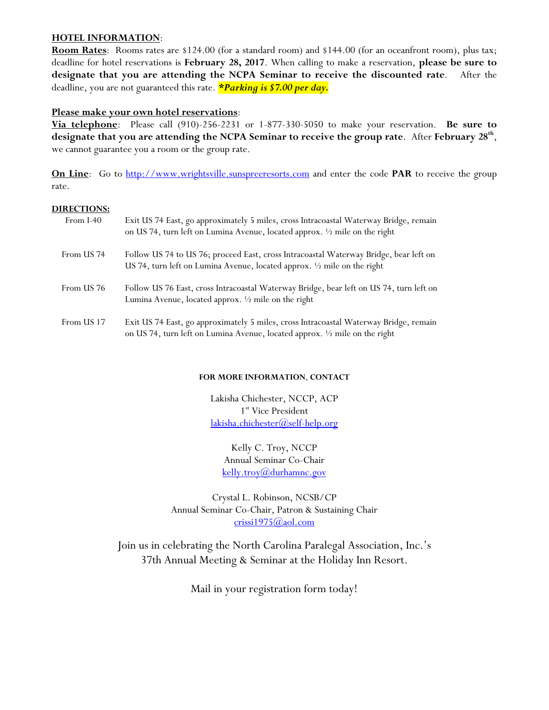#### **HOTEL INFORMATION**:

**Room Rates**: Rooms rates are \$124.00 (for a standard room) and \$144.00 (for an oceanfront room), plus tax; deadline for hotel reservations is **February 28, 2017**. When calling to make a reservation, **please be sure to designate that you are attending the NCPA Seminar to receive the discounted rate**. After the deadline, you are not guaranteed this rate. *\*Parking is \$7.00 per day.* 

#### **Please make your own hotel reservations**:

**Via telephone**: Please call (910)-256-2231 or 1-877-330-5050 to make your reservation. **Be sure to designate that you are attending the NCPA Seminar to receive the group rate**. After **February 28th**, we cannot guarantee you a room or the group rate.

**On Line**: Go to http://www.wrightsville.sunspreeresorts.com and enter the code PAR to receive the group rate.

#### **DIRECTIONS:**

| From I-40  | Exit US 74 East, go approximately 5 miles, cross Intracoastal Waterway Bridge, remain<br>on US 74, turn left on Lumina Avenue, located approx. 1/2 mile on the right        |
|------------|-----------------------------------------------------------------------------------------------------------------------------------------------------------------------------|
| From US 74 | Follow US 74 to US 76; proceed East, cross Intracoastal Waterway Bridge, bear left on<br>US 74, turn left on Lumina Avenue, located approx. $\frac{1}{2}$ mile on the right |
| From US 76 | Follow US 76 East, cross Intracoastal Waterway Bridge, bear left on US 74, turn left on<br>Lumina Avenue, located approx. $\frac{1}{2}$ mile on the right                   |
| From US 17 | Exit US 74 East, go approximately 5 miles, cross Intracoastal Waterway Bridge, remain<br>on US 74, turn left on Lumina Avenue, located approx. 1/2 mile on the right        |

#### **FOR MORE INFORMATION**, **CONTACT**

Lakisha Chichester, NCCP, ACP 1<sup>st</sup> Vice President lakisha.chichester@self-help.org

Kelly C. Troy, NCCP Annual Seminar Co-Chair kelly.troy@durhamnc.gov

Crystal L. Robinson, NCSB/CP Annual Seminar Co-Chair, Patron & Sustaining Chair crissi1975@aol.com

Join us in celebrating the North Carolina Paralegal Association, Inc.'s 37th Annual Meeting & Seminar at the Holiday Inn Resort.

Mail in your registration form today!